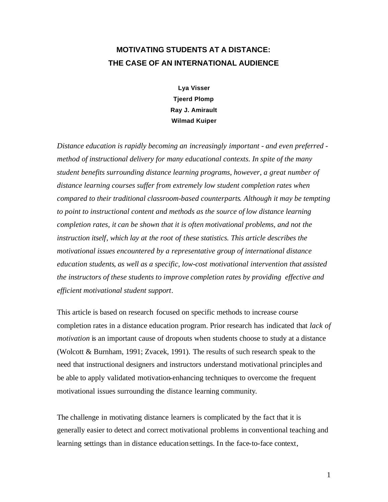# **MOTIVATING STUDENTS AT A DISTANCE: THE CASE OF AN INTERNATIONAL AUDIENCE**

**Lya Visser Tjeerd Plomp Ray J. Amirault Wilmad Kuiper**

*Distance education is rapidly becoming an increasingly important - and even preferred method of instructional delivery for many educational contexts. In spite of the many student benefits surrounding distance learning programs, however, a great number of distance learning courses suffer from extremely low student completion rates when compared to their traditional classroom-based counterparts. Although it may be tempting to point to instructional content and methods as the source of low distance learning completion rates, it can be shown that it is often motivational problems, and not the instruction itself, which lay at the root of these statistics. This article describes the motivational issues encountered by a representative group of international distance education students, as well as a specific, low-cost motivational intervention that assisted the instructors of these students to improve completion rates by providing effective and efficient motivational student support.*

This article is based on research focused on specific methods to increase course completion rates in a distance education program. Prior research has indicated that *lack of motivation* is an important cause of dropouts when students choose to study at a distance (Wolcott & Burnham, 1991; Zvacek, 1991). The results of such research speak to the need that instructional designers and instructors understand motivational principles and be able to apply validated motivation-enhancing techniques to overcome the frequent motivational issues surrounding the distance learning community.

The challenge in motivating distance learners is complicated by the fact that it is generally easier to detect and correct motivational problems in conventional teaching and learning settings than in distance education settings. In the face-to-face context,

1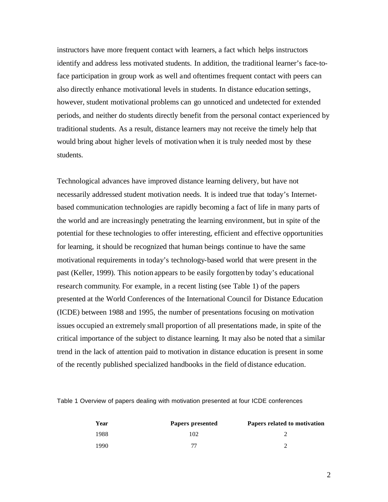instructors have more frequent contact with learners, a fact which helps instructors identify and address less motivated students. In addition, the traditional learner's face-toface participation in group work as well and oftentimes frequent contact with peers can also directly enhance motivational levels in students. In distance education settings, however, student motivational problems can go unnoticed and undetected for extended periods, and neither do students directly benefit from the personal contact experienced by traditional students. As a result, distance learners may not receive the timely help that would bring about higher levels of motivation when it is truly needed most by these students.

Technological advances have improved distance learning delivery, but have not necessarily addressed student motivation needs. It is indeed true that today's Internetbased communication technologies are rapidly becoming a fact of life in many parts of the world and are increasingly penetrating the learning environment, but in spite of the potential for these technologies to offer interesting, efficient and effective opportunities for learning, it should be recognized that human beings continue to have the same motivational requirements in today's technology-based world that were present in the past (Keller, 1999). This notion appears to be easily forgotten by today's educational research community. For example, in a recent listing (see Table 1) of the papers presented at the World Conferences of the International Council for Distance Education (ICDE) between 1988 and 1995, the number of presentations focusing on motivation issues occupied an extremely small proportion of all presentations made, in spite of the critical importance of the subject to distance learning. It may also be noted that a similar trend in the lack of attention paid to motivation in distance education is present in some of the recently published specialized handbooks in the field of distance education.

| Year | Papers presented | Papers related to motivation |
|------|------------------|------------------------------|
| 1988 | 102              |                              |
| 1990 | 77               |                              |

Table 1 Overview of papers dealing with motivation presented at four ICDE conferences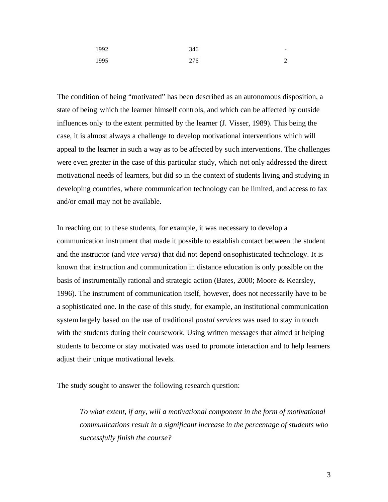| 1992 | 346 | $\overline{\phantom{a}}$ |
|------|-----|--------------------------|
| 1995 | 276 | ↵                        |

The condition of being "motivated" has been described as an autonomous disposition, a state of being which the learner himself controls, and which can be affected by outside influences only to the extent permitted by the learner (J. Visser, 1989). This being the case, it is almost always a challenge to develop motivational interventions which will appeal to the learner in such a way as to be affected by such interventions. The challenges were even greater in the case of this particular study, which not only addressed the direct motivational needs of learners, but did so in the context of students living and studying in developing countries, where communication technology can be limited, and access to fax and/or email may not be available.

In reaching out to these students, for example, it was necessary to develop a communication instrument that made it possible to establish contact between the student and the instructor (and *vice versa*) that did not depend on sophisticated technology. It is known that instruction and communication in distance education is only possible on the basis of instrumentally rational and strategic action (Bates, 2000; Moore & Kearsley, 1996). The instrument of communication itself, however, does not necessarily have to be a sophisticated one. In the case of this study, for example, an institutional communication system largely based on the use of traditional *postal services* was used to stay in touch with the students during their coursework. Using written messages that aimed at helping students to become or stay motivated was used to promote interaction and to help learners adjust their unique motivational levels.

The study sought to answer the following research question:

*To what extent, if any, will a motivational component in the form of motivational communications result in a significant increase in the percentage of students who successfully finish the course?*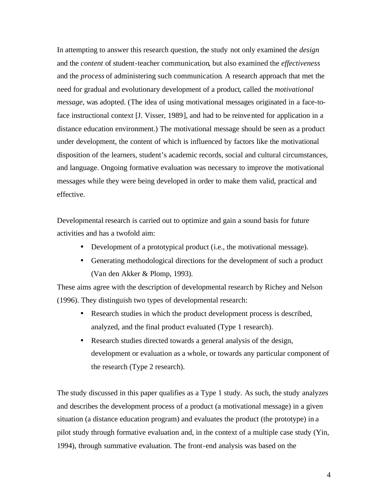In attempting to answer this research question, the study not only examined the *design* and the *content* of student-teacher communication, but also examined the *effectiveness* and the *process* of administering such communication. A research approach that met the need for gradual and evolutionary development of a product, called the *motivational message*, was adopted. (The idea of using motivational messages originated in a face-toface instructional context [J. Visser, 1989], and had to be reinvented for application in a distance education environment.) The motivational message should be seen as a product under development, the content of which is influenced by factors like the motivational disposition of the learners, student's academic records, social and cultural circumstances, and language. Ongoing formative evaluation was necessary to improve the motivational messages while they were being developed in order to make them valid, practical and effective.

Developmental research is carried out to optimize and gain a sound basis for future activities and has a twofold aim:

- Development of a prototypical product (i.e., the motivational message).
- Generating methodological directions for the development of such a product (Van den Akker & Plomp, 1993).

These aims agree with the description of developmental research by Richey and Nelson (1996). They distinguish two types of developmental research:

- Research studies in which the product development process is described, analyzed, and the final product evaluated (Type 1 research).
- Research studies directed towards a general analysis of the design, development or evaluation as a whole, or towards any particular component of the research (Type 2 research).

The study discussed in this paper qualifies as a Type 1 study. As such, the study analyzes and describes the development process of a product (a motivational message) in a given situation (a distance education program) and evaluates the product (the prototype) in a pilot study through formative evaluation and, in the context of a multiple case study (Yin, 1994), through summative evaluation. The front-end analysis was based on the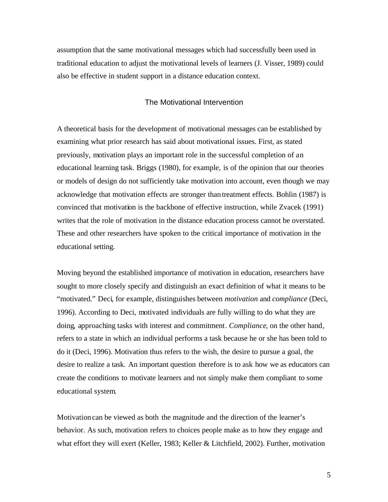assumption that the same motivational messages which had successfully been used in traditional education to adjust the motivational levels of learners (J. Visser, 1989) could also be effective in student support in a distance education context.

# The Motivational Intervention

A theoretical basis for the development of motivational messages can be established by examining what prior research has said about motivational issues. First, as stated previously, motivation plays an important role in the successful completion of an educational learning task. Briggs (1980), for example, is of the opinion that our theories or models of design do not sufficiently take motivation into account, even though we may acknowledge that motivation effects are stronger thantreatment effects. Bohlin (1987) is convinced that motivation is the backbone of effective instruction, while Zvacek (1991) writes that the role of motivation in the distance education process cannot be overstated. These and other researchers have spoken to the critical importance of motivation in the educational setting.

Moving beyond the established importance of motivation in education, researchers have sought to more closely specify and distinguish an exact definition of what it means to be "motivated." Deci, for example, distinguishes between *motivation* and *compliance* (Deci, 1996). According to Deci, motivated individuals are fully willing to do what they are doing, approaching tasks with interest and commitment. *Compliance*, on the other hand, refers to a state in which an individual performs a task because he or she has been told to do it (Deci, 1996). Motivation thus refers to the wish, the desire to pursue a goal, the desire to realize a task. An important question therefore is to ask how we as educators can create the conditions to motivate learners and not simply make them compliant to some educational system.

Motivation can be viewed as both the magnitude and the direction of the learner's behavior. As such, motivation refers to choices people make as to how they engage and what effort they will exert (Keller, 1983; Keller & Litchfield, 2002). Further, motivation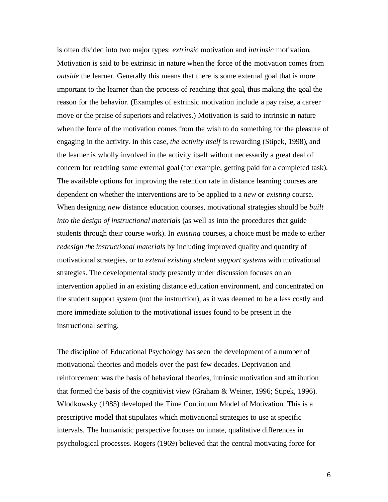is often divided into two major types: *extrinsic* motivation and *intrinsic* motivation. Motivation is said to be extrinsic in nature when the force of the motivation comes from *outside* the learner. Generally this means that there is some external goal that is more important to the learner than the process of reaching that goal, thus making the goal the reason for the behavior. (Examples of extrinsic motivation include a pay raise, a career move or the praise of superiors and relatives.) Motivation is said to intrinsic in nature when the force of the motivation comes from the wish to do something for the pleasure of engaging in the activity. In this case, *the activity itself* is rewarding (Stipek, 1998), and the learner is wholly involved in the activity itself without necessarily a great deal of concern for reaching some external goal (for example, getting paid for a completed task). The available options for improving the retention rate in distance learning courses are dependent on whether the interventions are to be applied to a *new* or *existing* course. When designing *new* distance education courses, motivational strategies should be *built into the design of instructional materials* (as well as into the procedures that guide students through their course work). In *existing* courses, a choice must be made to either *redesign the instructional materials* by including improved quality and quantity of motivational strategies, or to *extend existing student support systems* with motivational strategies. The developmental study presently under discussion focuses on an intervention applied in an existing distance education environment, and concentrated on the student support system (not the instruction), as it was deemed to be a less costly and more immediate solution to the motivational issues found to be present in the instructional setting.

The discipline of Educational Psychology has seen the development of a number of motivational theories and models over the past few decades. Deprivation and reinforcement was the basis of behavioral theories, intrinsic motivation and attribution that formed the basis of the cognitivist view (Graham & Weiner, 1996; Stipek, 1996). Wlodkowsky (1985) developed the Time Continuum Model of Motivation. This is a prescriptive model that stipulates which motivational strategies to use at specific intervals. The humanistic perspective focuses on innate, qualitative differences in psychological processes. Rogers (1969) believed that the central motivating force for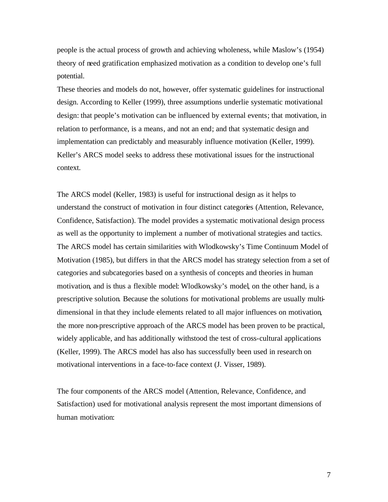people is the actual process of growth and achieving wholeness, while Maslow's (1954) theory of need gratification emphasized motivation as a condition to develop one's full potential.

These theories and models do not, however, offer systematic guidelines for instructional design. According to Keller (1999), three assumptions underlie systematic motivational design: that people's motivation can be influenced by external events; that motivation, in relation to performance, is a means, and not an end; and that systematic design and implementation can predictably and measurably influence motivation (Keller, 1999). Keller's ARCS model seeks to address these motivational issues for the instructional context.

The ARCS model (Keller, 1983) is useful for instructional design as it helps to understand the construct of motivation in four distinct categories (Attention, Relevance, Confidence, Satisfaction). The model provides a systematic motivational design process as well as the opportunity to implement a number of motivational strategies and tactics. The ARCS model has certain similarities with Wlodkowsky's Time Continuum Model of Motivation (1985), but differs in that the ARCS model has strategy selection from a set of categories and subcategories based on a synthesis of concepts and theories in human motivation, and is thus a flexible model: Wlodkowsky's model, on the other hand, is a prescriptive solution. Because the solutions for motivational problems are usually multidimensional in that they include elements related to all major influences on motivation, the more non-prescriptive approach of the ARCS model has been proven to be practical, widely applicable, and has additionally withstood the test of cross-cultural applications (Keller, 1999). The ARCS model has also has successfully been used in research on motivational interventions in a face-to-face context (J. Visser, 1989).

The four components of the ARCS model (Attention, Relevance, Confidence, and Satisfaction) used for motivational analysis represent the most important dimensions of human motivation: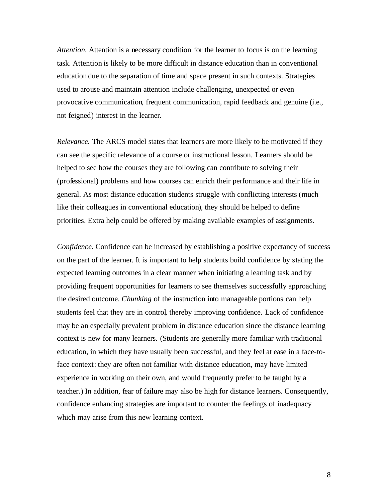*Attention.* Attention is a necessary condition for the learner to focus is on the learning task. Attention is likely to be more difficult in distance education than in conventional education due to the separation of time and space present in such contexts. Strategies used to arouse and maintain attention include challenging, unexpected or even provocative communication, frequent communication, rapid feedback and genuine (i.e., not feigned) interest in the learner.

*Relevance.* The ARCS model states that learners are more likely to be motivated if they can see the specific relevance of a course or instructional lesson. Learners should be helped to see how the courses they are following can contribute to solving their (professional) problems and how courses can enrich their performance and their life in general. As most distance education students struggle with conflicting interests (much like their colleagues in conventional education), they should be helped to define priorities. Extra help could be offered by making available examples of assignments.

*Confidence.* Confidence can be increased by establishing a positive expectancy of success on the part of the learner. It is important to help students build confidence by stating the expected learning outcomes in a clear manner when initiating a learning task and by providing frequent opportunities for learners to see themselves successfully approaching the desired outcome. *Chunking* of the instruction into manageable portions can help students feel that they are in control, thereby improving confidence. Lack of confidence may be an especially prevalent problem in distance education since the distance learning context is new for many learners. (Students are generally more familiar with traditional education, in which they have usually been successful, and they feel at ease in a face-toface context: they are often not familiar with distance education, may have limited experience in working on their own, and would frequently prefer to be taught by a teacher.) In addition, fear of failure may also be high for distance learners. Consequently, confidence enhancing strategies are important to counter the feelings of inadequacy which may arise from this new learning context.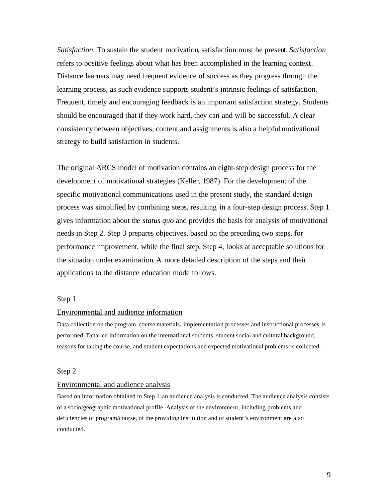*Satisfaction.* To sustain the student motivation, satisfaction must be present. *Satisfaction* refers to positive feelings about what has been accomplished in the learning context. Distance learners may need frequent evidence of success as they progress through the learning process, as such evidence supports student's intrinsic feelings of satisfaction. Frequent, timely and encouraging feedback is an important satisfaction strategy. Students should be encouraged that if they work hard, they can and will be successful. A clear consistency between objectives, content and assignments is also a helpful motivational strategy to build satisfaction in students.

The original ARCS model of motivation contains an eight-step design process for the development of motivational strategies (Keller, 1987). For the development of the specific motivational communications used in the present study, the standard design process was simplified by combining steps, resulting in a four-step design process. Step 1 gives information about the *status quo* and provides the basis for analysis of motivational needs in Step 2. Step 3 prepares objectives, based on the preceding two steps, for performance improvement, while the final step, Step 4, looks at acceptable solutions for the situation under examination. A more detailed description of the steps and their applications to the distance education mode follows.

### Step 1

### Environmental and audience information

Data collection on the program, course materials, implementation processes and instructional processes is performed. Detailed information on the international students, student social and cultural background, reasons for taking the course, and student expectations and expected motivational problems is collected.

### Step 2

#### Environmental and audience analysis

Based on information obtained in Step 1, an audience analysis is conducted. The audience analysis consists of a socio/geographic motivational profile. Analysis of the environment, including problems and deficiencies of program/course, of the providing institution and of student's environment are also conducted.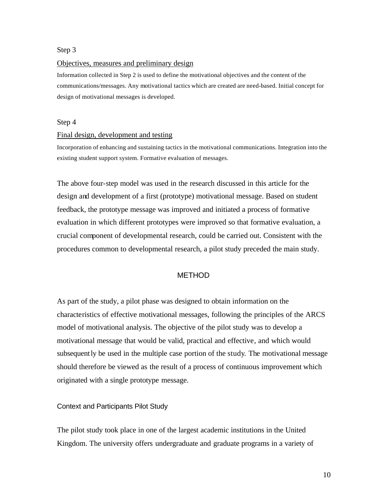## Step 3

### Objectives, measures and preliminary design

Information collected in Step 2 is used to define the motivational objectives and the content of the communications/messages. Any motivational tactics which are created are need-based. Initial concept for design of motivational messages is developed.

# Step 4

#### Final design, development and testing

Incorporation of enhancing and sustaining tactics in the motivational communications. Integration into the existing student support system. Formative evaluation of messages.

The above four-step model was used in the research discussed in this article for the design and development of a first (prototype) motivational message. Based on student feedback, the prototype message was improved and initiated a process of formative evaluation in which different prototypes were improved so that formative evaluation, a crucial component of developmental research, could be carried out. Consistent with the procedures common to developmental research, a pilot study preceded the main study.

# METHOD

As part of the study, a pilot phase was designed to obtain information on the characteristics of effective motivational messages, following the principles of the ARCS model of motivational analysis. The objective of the pilot study was to develop a motivational message that would be valid, practical and effective, and which would subsequently be used in the multiple case portion of the study. The motivational message should therefore be viewed as the result of a process of continuous improvement which originated with a single prototype message.

### Context and Participants Pilot Study

The pilot study took place in one of the largest academic institutions in the United Kingdom. The university offers undergraduate and graduate programs in a variety of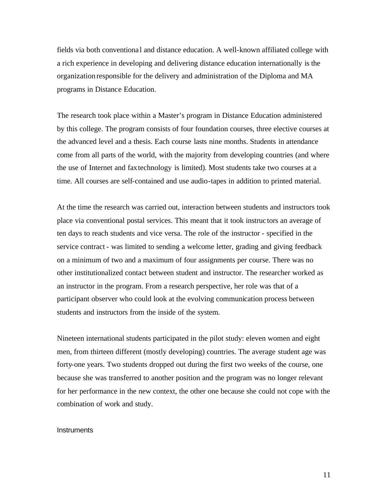fields via both conventiona l and distance education. A well-known affiliated college with a rich experience in developing and delivering distance education internationally is the organization responsible for the delivery and administration of the Diploma and MA programs in Distance Education.

The research took place within a Master's program in Distance Education administered by this college. The program consists of four foundation courses, three elective courses at the advanced level and a thesis. Each course lasts nine months. Students in attendance come from all parts of the world, with the majority from developing countries (and where the use of Internet and fax technology is limited). Most students take two courses at a time. All courses are self-contained and use audio-tapes in addition to printed material.

At the time the research was carried out, interaction between students and instructors took place via conventional postal services. This meant that it took instruc tors an average of ten days to reach students and vice versa. The role of the instructor - specified in the service contract - was limited to sending a welcome letter, grading and giving feedback on a minimum of two and a maximum of four assignments per course. There was no other institutionalized contact between student and instructor. The researcher worked as an instructor in the program. From a research perspective, her role was that of a participant observer who could look at the evolving communication process between students and instructors from the inside of the system.

Nineteen international students participated in the pilot study: eleven women and eight men, from thirteen different (mostly developing) countries. The average student age was forty-one years. Two students dropped out during the first two weeks of the course, one because she was transferred to another position and the program was no longer relevant for her performance in the new context, the other one because she could not cope with the combination of work and study.

### **Instruments**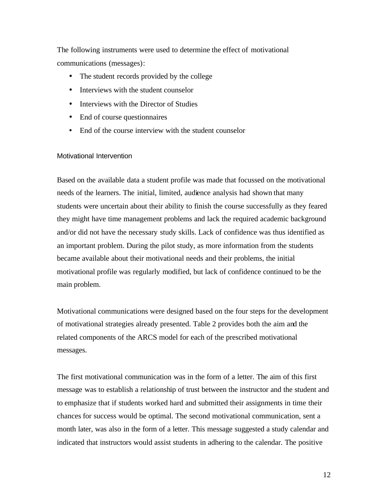The following instruments were used to determine the effect of motivational communications (messages):

- The student records provided by the college
- Interviews with the student counselor
- Interviews with the Director of Studies
- End of course questionnaires
- End of the course interview with the student counselor

# Motivational Intervention

Based on the available data a student profile was made that focussed on the motivational needs of the learners. The initial, limited, audience analysis had shown that many students were uncertain about their ability to finish the course successfully as they feared they might have time management problems and lack the required academic background and/or did not have the necessary study skills. Lack of confidence was thus identified as an important problem. During the pilot study, as more information from the students became available about their motivational needs and their problems, the initial motivational profile was regularly modified, but lack of confidence continued to be the main problem.

Motivational communications were designed based on the four steps for the development of motivational strategies already presented. Table 2 provides both the aim and the related components of the ARCS model for each of the prescribed motivational messages.

The first motivational communication was in the form of a letter. The aim of this first message was to establish a relationship of trust between the instructor and the student and to emphasize that if students worked hard and submitted their assignments in time their chances for success would be optimal. The second motivational communication, sent a month later, was also in the form of a letter. This message suggested a study calendar and indicated that instructors would assist students in adhering to the calendar. The positive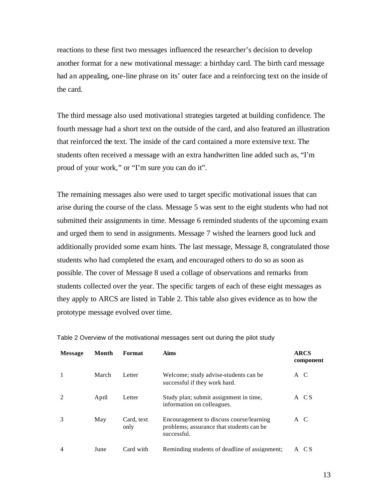reactions to these first two messages influenced the researcher's decision to develop another format for a new motivational message: a birthday card. The birth card message had an appealing, one-line phrase on its' outer face and a reinforcing text on the inside of the card.

The third message also used motivational strategies targeted at building confidence. The fourth message had a short text on the outside of the card, and also featured an illustration that reinforced the text. The inside of the card contained a more extensive text. The students often received a message with an extra handwritten line added such as, "I'm proud of your work," or "I'm sure you can do it".

The remaining messages also were used to target specific motivational issues that can arise during the course of the class. Message 5 was sent to the eight students who had not submitted their assignments in time. Message 6 reminded students of the upcoming exam and urged them to send in assignments. Message 7 wished the learners good luck and additionally provided some exam hints. The last message, Message 8, congratulated those students who had completed the exam, and encouraged others to do so as soon as possible. The cover of Message 8 used a collage of observations and remarks from students collected over the year. The specific targets of each of these eight messages as they apply to ARCS are listed in Table 2. This table also gives evidence as to how the prototype message evolved over time.

| <b>Message</b>              | Month | Format             | <b>Aims</b>                                                                                         |             | <b>ARCS</b><br>component |
|-----------------------------|-------|--------------------|-----------------------------------------------------------------------------------------------------|-------------|--------------------------|
|                             | March | Letter             | Welcome; study advise-students can be.<br>successful if they work hard.                             | A C         |                          |
| $\mathcal{D}_{\mathcal{L}}$ | April | Letter             | Study plan; submit assignment in time,<br>information on colleagues.                                | A           | - C S                    |
| $\mathcal{F}$               | May   | Card, text<br>only | Encouragement to discuss course/learning<br>problems; assurance that students can be<br>successful. | $A \quad C$ |                          |
| 4                           | June  | Card with          | Reminding students of deadline of assignment;                                                       |             | - C S                    |

|  | Table 2 Overview of the motivational messages sent out during the pilot study |  |  |  |
|--|-------------------------------------------------------------------------------|--|--|--|
|  |                                                                               |  |  |  |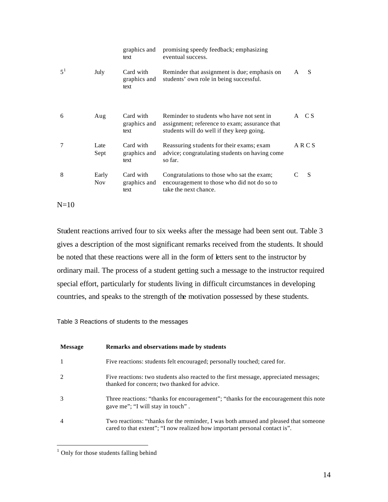|         |                     | graphics and<br>text              | promising speedy feedback; emphasizing<br>eventual success.                                                                             |      |
|---------|---------------------|-----------------------------------|-----------------------------------------------------------------------------------------------------------------------------------------|------|
| $5^{1}$ | July                | Card with<br>graphics and<br>text | Reminder that assignment is due; emphasis on<br>students' own role in being successful.                                                 | S    |
| 6       | Aug                 | Card with<br>graphics and<br>text | Reminder to students who have not sent in<br>assignment; reference to exam; assurance that<br>students will do well if they keep going. | A CS |
| 7       | Late<br>Sept        | Card with<br>graphics and<br>text | Reassuring students for their exams; exam<br>advice; congratulating students on having come<br>so far.                                  | ARCS |
| 8       | Early<br><b>Nov</b> | Card with<br>graphics and<br>text | Congratulations to those who sat the exam;<br>encouragement to those who did not do so to<br>take the next chance.                      | S    |

 $N=10$ 

Student reactions arrived four to six weeks after the message had been sent out. Table 3 gives a description of the most significant remarks received from the students. It should be noted that these reactions were all in the form of letters sent to the instructor by ordinary mail. The process of a student getting such a message to the instructor required special effort, particularly for students living in difficult circumstances in developing countries, and speaks to the strength of the motivation possessed by these students.

Table 3 Reactions of students to the messages

| <b>Message</b>              | Remarks and observations made by students                                                                                                                         |
|-----------------------------|-------------------------------------------------------------------------------------------------------------------------------------------------------------------|
|                             | Five reactions: students felt encouraged; personally touched; cared for.                                                                                          |
| $\mathcal{D}_{\mathcal{L}}$ | Five reactions: two students also reacted to the first message, appreciated messages;<br>thanked for concern; two thanked for advice.                             |
| $\mathcal{R}$               | Three reactions: "thanks for encouragement"; "thanks for the encouragement this note<br>gave me"; "I will stay in touch".                                         |
| $\overline{4}$              | Two reactions: "thanks for the reminder, I was both amused and pleased that someone<br>cared to that extent"; "I now realized how important personal contact is". |

<sup>&</sup>lt;sup>1</sup> Only for those students falling behind

 $\overline{a}$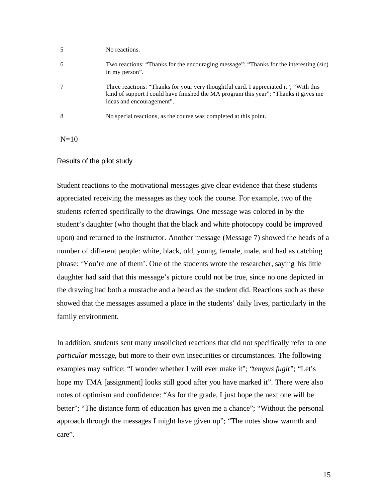|    | No reactions.                                                                                                                                                                                              |
|----|------------------------------------------------------------------------------------------------------------------------------------------------------------------------------------------------------------|
| -6 | Two reactions: "Thanks for the encouraging message"; "Thanks for the interesting (sic)<br>in my person".                                                                                                   |
|    | Three reactions: "Thanks for your very thoughtful card. I appreciated it"; "With this<br>kind of support I could have finished the MA program this year"; "Thanks it gives me<br>ideas and encouragement". |
| 8  | No special reactions, as the course was completed at this point.                                                                                                                                           |

 $N=10$ 

# Results of the pilot study

Student reactions to the motivational messages give clear evidence that these students appreciated receiving the messages as they took the course. For example, two of the students referred specifically to the drawings. One message was colored in by the student's daughter (who thought that the black and white photocopy could be improved upon) and returned to the instructor. Another message (Message 7) showed the heads of a number of different people: white, black, old, young, female, male, and had as catching phrase: 'You're one of them'. One of the students wrote the researcher, saying his little daughter had said that this message's picture could not be true, since no one depicted in the drawing had both a mustache and a beard as the student did. Reactions such as these showed that the messages assumed a place in the students' daily lives, particularly in the family environment.

In addition, students sent many unsolicited reactions that did not specifically refer to one *particular* message, but more to their own insecurities or circumstances. The following examples may suffice: "I wonder whether I will ever make it"; "*tempus fugit*"; "Let's hope my TMA [assignment] looks still good after you have marked it". There were also notes of optimism and confidence: "As for the grade, I just hope the next one will be better"; "The distance form of education has given me a chance"; "Without the personal approach through the messages I might have given up"; "The notes show warmth and care".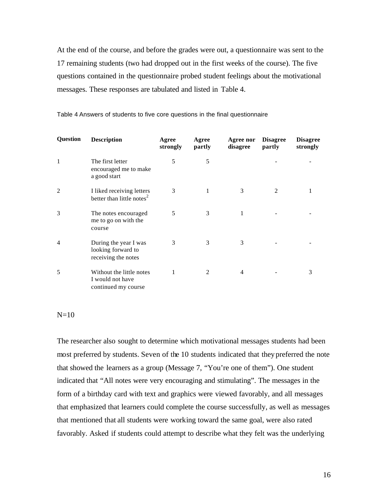At the end of the course, and before the grades were out, a questionnaire was sent to the 17 remaining students (two had dropped out in the first weeks of the course). The five questions contained in the questionnaire probed student feelings about the motivational messages. These responses are tabulated and listed in Table 4.

| <b>Question</b> | <b>Description</b>                                                  | Agree<br>strongly | Agree<br>partly | Agree nor<br>disagree | <b>Disagree</b><br>partly | <b>Disagree</b><br>strongly |
|-----------------|---------------------------------------------------------------------|-------------------|-----------------|-----------------------|---------------------------|-----------------------------|
| 1               | The first letter<br>encouraged me to make<br>a good start           | 5                 | 5               |                       |                           |                             |
| 2               | I liked receiving letters<br>better than little notes <sup>2</sup>  | 3                 |                 | 3                     | 2                         |                             |
| 3               | The notes encouraged<br>me to go on with the<br>course              | 5                 | 3               | 1                     |                           |                             |
| 4               | During the year I was<br>looking forward to<br>receiving the notes  | 3                 | 3               | 3                     |                           |                             |
| 5               | Without the little notes<br>I would not have<br>continued my course |                   | $\mathfrak{D}$  | 4                     |                           | 3                           |

Table 4 Answers of students to five core questions in the final questionnaire

 $N=10$ 

The researcher also sought to determine which motivational messages students had been most preferred by students. Seven of the 10 students indicated that they preferred the note that showed the learners as a group (Message 7, "You're one of them"). One student indicated that "All notes were very encouraging and stimulating". The messages in the form of a birthday card with text and graphics were viewed favorably, and all messages that emphasized that learners could complete the course successfully, as well as messages that mentioned that all students were working toward the same goal, were also rated favorably. Asked if students could attempt to describe what they felt was the underlying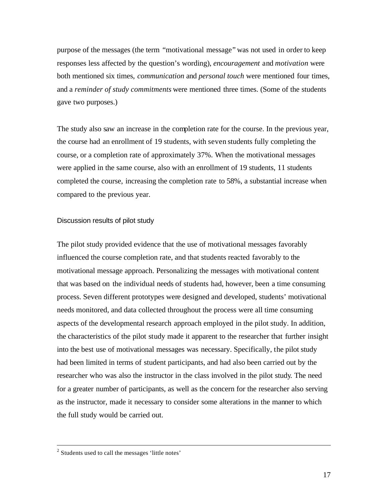purpose of the messages (the term "motivational message" was not used in order to keep responses less affected by the question's wording), *encouragement* and *motivation* were both mentioned six times, *communication* and *personal touch* were mentioned four times, and a *reminder of study commitments* were mentioned three times. (Some of the students gave two purposes.)

The study also saw an increase in the completion rate for the course. In the previous year, the course had an enrollment of 19 students, with seven students fully completing the course, or a completion rate of approximately 37%. When the motivational messages were applied in the same course, also with an enrollment of 19 students, 11 students completed the course, increasing the completion rate to 58%, a substantial increase when compared to the previous year.

Discussion results of pilot study

The pilot study provided evidence that the use of motivational messages favorably influenced the course completion rate, and that students reacted favorably to the motivational message approach. Personalizing the messages with motivational content that was based on the individual needs of students had, however, been a time consuming process. Seven different prototypes were designed and developed, students' motivational needs monitored, and data collected throughout the process were all time consuming aspects of the developmental research approach employed in the pilot study. In addition, the characteristics of the pilot study made it apparent to the researcher that further insight into the best use of motivational messages was necessary. Specifically, the pilot study had been limited in terms of student participants, and had also been carried out by the researcher who was also the instructor in the class involved in the pilot study. The need for a greater number of participants, as well as the concern for the researcher also serving as the instructor, made it necessary to consider some alterations in the manner to which the full study would be carried out.

 $\overline{a}$ 

<sup>&</sup>lt;sup>2</sup> Students used to call the messages 'little notes'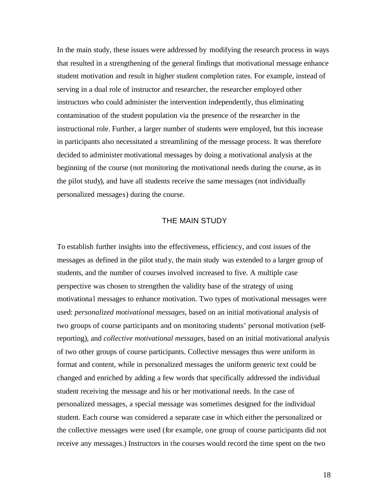In the main study, these issues were addressed by modifying the research process in ways that resulted in a strengthening of the general findings that motivational message enhance student motivation and result in higher student completion rates. For example, instead of serving in a dual role of instructor and researcher, the researcher employed other instructors who could administer the intervention independently, thus eliminating contamination of the student population via the presence of the researcher in the instructional role. Further, a larger number of students were employed, but this increase in participants also necessitated a streamlining of the message process. It was therefore decided to administer motivational messages by doing a motivational analysis at the beginning of the course (not monitoring the motivational needs during the course, as in the pilot study), and have all students receive the same messages (not individually personalized messages) during the course.

# THE MAIN STUDY

To establish further insights into the effectiveness, efficiency, and cost issues of the messages as defined in the pilot study, the main study was extended to a larger group of students, and the number of courses involved increased to five. A multiple case perspective was chosen to strengthen the validity base of the strategy of using motivationa l messages to enhance motivation. Two types of motivational messages were used: *personalized motivational messages,* based on an initial motivational analysis of two groups of course participants and on monitoring students' personal motivation (selfreporting), and *collective motivational messages*, based on an initial motivational analysis of two other groups of course participants. Collective messages thus were uniform in format and content, while in personalized messages the uniform generic text could be changed and enriched by adding a few words that specifically addressed the individual student receiving the message and his or her motivational needs. In the case of personalized messages, a special message was sometimes designed for the individual student. Each course was considered a separate case in which either the personalized or the collective messages were used (for example, one group of course participants did not receive any messages.) Instructors in the courses would record the time spent on the two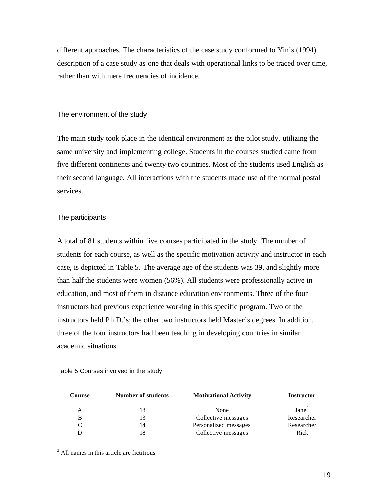different approaches. The characteristics of the case study conformed to Yin's (1994) description of a case study as one that deals with operational links to be traced over time, rather than with mere frequencies of incidence.

# The environment of the study

The main study took place in the identical environment as the pilot study, utilizing the same university and implementing college. Students in the courses studied came from five different continents and twenty-two countries. Most of the students used English as their second language. All interactions with the students made use of the normal postal services.

# The participants

A total of 81 students within five courses participated in the study. The number of students for each course, as well as the specific motivation activity and instructor in each case, is depicted in Table 5. The average age of the students was 39, and slightly more than half the students were women (56%). All students were professionally active in education, and most of them in distance education environments. Three of the four instructors had previous experience working in this specific program. Two of the instructors held Ph.D.'s; the other two instructors held Master's degrees. In addition, three of the four instructors had been teaching in developing countries in similar academic situations.

Table 5 Courses involved in the study

| Course | <b>Number of students</b> | <b>Motivational Activity</b> | <b>Instructor</b> |
|--------|---------------------------|------------------------------|-------------------|
|        | 18                        | None                         | Jane <sup>3</sup> |
| B      | 13                        | Collective messages          | Researcher        |
|        | 14                        | Personalized messages        | Researcher        |
|        | 18                        | Collective messages          | Rick              |

<sup>3</sup> All names in this article are fictitious

 $\overline{a}$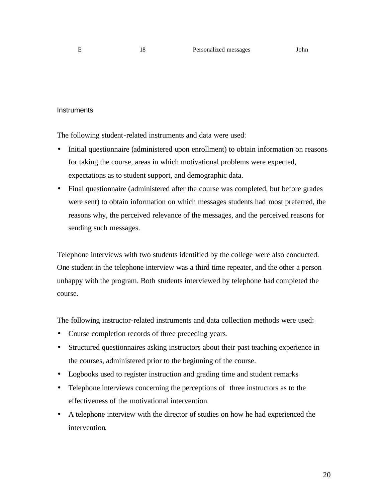### **Instruments**

The following student-related instruments and data were used:

- Initial questionnaire (administered upon enrollment) to obtain information on reasons for taking the course, areas in which motivational problems were expected, expectations as to student support, and demographic data.
- Final questionnaire (administered after the course was completed, but before grades were sent) to obtain information on which messages students had most preferred, the reasons why, the perceived relevance of the messages, and the perceived reasons for sending such messages.

Telephone interviews with two students identified by the college were also conducted. One student in the telephone interview was a third time repeater, and the other a person unhappy with the program. Both students interviewed by telephone had completed the course.

The following instructor-related instruments and data collection methods were used:

- Course completion records of three preceding years.
- Structured questionnaires asking instructors about their past teaching experience in the courses, administered prior to the beginning of the course.
- Logbooks used to register instruction and grading time and student remarks
- Telephone interviews concerning the perceptions of three instructors as to the effectiveness of the motivational intervention.
- A telephone interview with the director of studies on how he had experienced the intervention.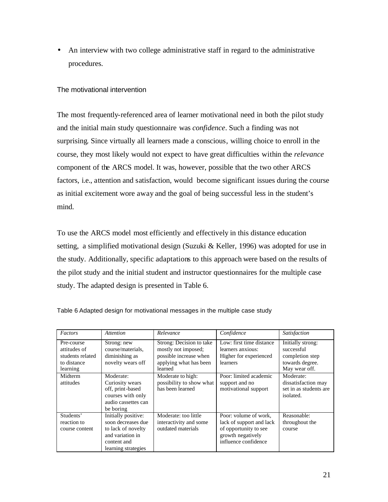• An interview with two college administrative staff in regard to the administrative procedures.

# The motivational intervention

The most frequently-referenced area of learner motivational need in both the pilot study and the initial main study questionnaire was *confidence*. Such a finding was not surprising. Since virtually all learners made a conscious, willing choice to enroll in the course, they most likely would not expect to have great difficulties within the *relevance* component of the ARCS model. It was, however, possible that the two other ARCS factors, i.e., attention and satisfaction, would become significant issues during the course as initial excitement wore away and the goal of being successful less in the student's mind.

To use the ARCS model most efficiently and effectively in this distance education setting, a simplified motivational design (Suzuki & Keller, 1996) was adopted for use in the study. Additionally, specific adaptations to this approach were based on the results of the pilot study and the initial student and instructor questionnaires for the multiple case study. The adapted design is presented in Table 6.

| Factors                                                                              | <i>Attention</i>                                                                                                          | Relevance                                                                                                                           | Confidence                                                                                                              | <b>Satisfaction</b>                                                                                 |
|--------------------------------------------------------------------------------------|---------------------------------------------------------------------------------------------------------------------------|-------------------------------------------------------------------------------------------------------------------------------------|-------------------------------------------------------------------------------------------------------------------------|-----------------------------------------------------------------------------------------------------|
| Pre-course<br>attitudes of<br>students related<br>to distance<br>learning<br>Midterm | Strong: new<br>course/materials.<br>diminishing as<br>novelty wears off<br>Moderate:                                      | Strong: Decision to take<br>mostly not imposed;<br>possible increase when<br>applying what has been<br>learned<br>Moderate to high: | Low: first time distance<br>learners anxious:<br>Higher for experienced<br>learners<br>Poor: limited academic           | Initially strong:<br>successful<br>completion step<br>towards degree.<br>May wear off.<br>Moderate: |
| attitudes                                                                            | Curiosity wears<br>off, print-based<br>courses with only<br>audio cassettes can<br>be boring                              | possibility to show what<br>has been learned                                                                                        | support and no<br>motivational support                                                                                  | dissatisfaction may<br>set in as students are<br>isolated.                                          |
| Students'<br>reaction to<br>course content                                           | Initially positive:<br>soon decreases due<br>to lack of novelty<br>and variation in<br>content and<br>learning strategies | Moderate: too little<br>interactivity and some<br>outdated materials                                                                | Poor: volume of work.<br>lack of support and lack<br>of opportunity to see<br>growth negatively<br>influence confidence | Reasonable:<br>throughout the<br>course                                                             |

|  |  | Table 6 Adapted design for motivational messages in the multiple case study |  |  |  |  |
|--|--|-----------------------------------------------------------------------------|--|--|--|--|
|  |  |                                                                             |  |  |  |  |
|  |  |                                                                             |  |  |  |  |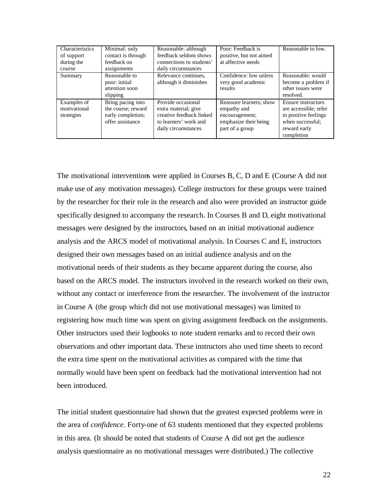| <b>Characteristics</b> | Minimal: only      | Reasonable: although     | Poor: Feedback is       | Reasonable to low.    |
|------------------------|--------------------|--------------------------|-------------------------|-----------------------|
| of support             | contact is through | feedback seldom shows    | positive, but not aimed |                       |
| during the             | feedback on        | connections to students' | at affective needs      |                       |
| course                 | assignments        | daily circumstances      |                         |                       |
| Summary                | Reasonable to      | Relevance continues,     | Confidence: low unless  | Reasonable: would     |
|                        | poor: initial      | although it diminishes   | very good academic      | become a problem if   |
|                        | attention soon     |                          | results                 | other issues were     |
|                        | slipping           |                          |                         | resolved.             |
| Examples of            | Bring pacing into  | Provide occasional       | Reassure learners: show | Ensure instructors    |
| motivational           | the course; reward | extra material; give     | empathy and             | are accessible: refer |
| strategies             | early completion;  | creative feedback linked | encouragement;          | to positive feelings  |
|                        | offer assistance   | to learners' work and    | emphasize their being   | when successful:      |
|                        |                    | daily circumstances      | part of a group         | reward early          |
|                        |                    |                          |                         | completion            |

The motivational interventions were applied in Courses B, C, D and E (Course A did not make use of any motivation messages). College instructors for these groups were trained by the researcher for their role in the research and also were provided an instructor guide specifically designed to accompany the research. In Courses B and D, eight motivational messages were designed by the instructors, based on an initial motivational audience analysis and the ARCS model of motivational analysis. In Courses C and E, instructors designed their own messages based on an initial audience analysis and on the motivational needs of their students as they became apparent during the course, also based on the ARCS model. The instructors involved in the research worked on their own, without any contact or interference from the researcher. The involvement of the instructor in Course A (the group which did not use motivational messages) was limited to registering how much time was spent on giving assignment feedback on the assignments. Other instructors used their logbooks to note student remarks and to record their own observations and other important data. These instructors also used time sheets to record the extra time spent on the motivational activities as compared with the time that normally would have been spent on feedback had the motivational intervention had not been introduced.

The initial student questionnaire had shown that the greatest expected problems were in the area of *confidence*. Forty-one of 63 students mentioned that they expected problems in this area. (It should be noted that students of Course A did not get the audience analysis questionnaire as no motivational messages were distributed.) The collective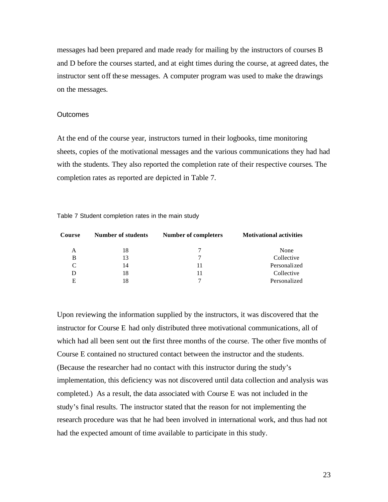messages had been prepared and made ready for mailing by the instructors of courses B and D before the courses started, and at eight times during the course, at agreed dates, the instructor sent off these messages. A computer program was used to make the drawings on the messages.

# **Outcomes**

At the end of the course year, instructors turned in their logbooks, time monitoring sheets, copies of the motivational messages and the various communications they had had with the students. They also reported the completion rate of their respective courses. The completion rates as reported are depicted in Table 7.

| Table 7 Student completion rates in the main study |  |  |  |  |  |  |  |
|----------------------------------------------------|--|--|--|--|--|--|--|
|----------------------------------------------------|--|--|--|--|--|--|--|

| Course | <b>Number of students</b> | <b>Number of completers</b> | <b>Motivational activities</b> |
|--------|---------------------------|-----------------------------|--------------------------------|
| А      | 18                        |                             | None                           |
| В      | 13                        |                             | Collective                     |
| C      | 14                        | 11                          | Personalized                   |
|        | 18                        | 11                          | Collective                     |
| F      |                           |                             | Personalized                   |

Upon reviewing the information supplied by the instructors, it was discovered that the instructor for Course E had only distributed three motivational communications, all of which had all been sent out the first three months of the course. The other five months of Course E contained no structured contact between the instructor and the students. (Because the researcher had no contact with this instructor during the study's implementation, this deficiency was not discovered until data collection and analysis was completed.) As a result, the data associated with Course E was not included in the study's final results. The instructor stated that the reason for not implementing the research procedure was that he had been involved in international work, and thus had not had the expected amount of time available to participate in this study.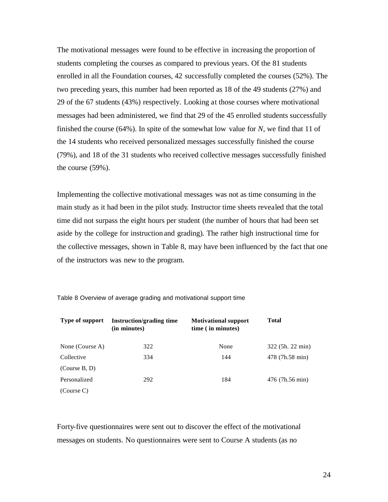The motivational messages were found to be effective in increasing the proportion of students completing the courses as compared to previous years. Of the 81 students enrolled in all the Foundation courses, 42 successfully completed the courses (52%). The two preceding years, this number had been reported as 18 of the 49 students (27%) and 29 of the 67 students (43%) respectively. Looking at those courses where motivational messages had been administered, we find that 29 of the 45 enrolled students successfully finished the course (64%). In spite of the somewhat low value for *N*, we find that 11 of the 14 students who received personalized messages successfully finished the course (79%), and 18 of the 31 students who received collective messages successfully finished the course (59%).

Implementing the collective motivational messages was not as time consuming in the main study as it had been in the pilot study. Instructor time sheets revealed that the total time did not surpass the eight hours per student (the number of hours that had been set aside by the college for instruction and grading). The rather high instructional time for the collective messages, shown in Table 8, may have been influenced by the fact that one of the instructors was new to the program.

| Type of support | <b>Instruction/grading time</b><br>(in minutes) | <b>Motivational support</b><br>time (in minutes) | <b>Total</b>     |  |
|-----------------|-------------------------------------------------|--------------------------------------------------|------------------|--|
| None (Course A) | 322                                             | None                                             | 322 (5h. 22 min) |  |
| Collective      | 334                                             | 144                                              | 478 (7h.58 min)  |  |
| (Course B, D)   |                                                 |                                                  |                  |  |
| Personalized    | 292                                             | 184                                              | 476 (7h.56 min)  |  |
| (Course C)      |                                                 |                                                  |                  |  |

Table 8 Overview of average grading and motivational support time

Forty-five questionnaires were sent out to discover the effect of the motivational messages on students. No questionnaires were sent to Course A students (as no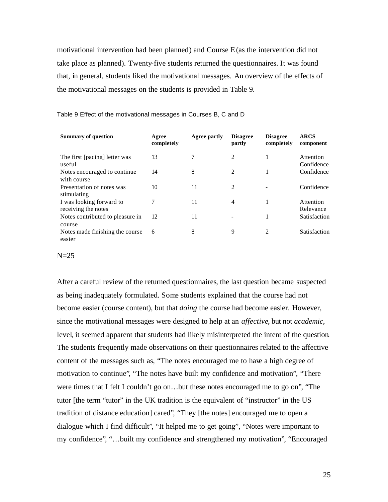motivational intervention had been planned) and Course E (as the intervention did not take place as planned). Twenty-five students returned the questionnaires. It was found that, in general, students liked the motivational messages. An overview of the effects of the motivational messages on the students is provided in Table 9.

| <b>Summary of question</b>                      | Agree<br>completely | Agree partly | <b>Disagree</b><br>partly | <b>Disagree</b><br>completely | <b>ARCS</b><br>component |
|-------------------------------------------------|---------------------|--------------|---------------------------|-------------------------------|--------------------------|
| The first [pacing] letter was<br>useful         | 13                  |              | 2                         |                               | Attention<br>Confidence  |
| Notes encouraged to continue.<br>with course    | 14                  | 8            | 2                         |                               | Confidence               |
| Presentation of notes was<br>stimulating        | 10                  | 11           | 2                         |                               | Confidence               |
| I was looking forward to<br>receiving the notes |                     | 11           | 4                         |                               | Attention<br>Relevance   |
| Notes contributed to pleasure in<br>course      | 12                  | 11           |                           |                               | Satisfaction             |
| Notes made finishing the course<br>easier       | 6                   | 8            | 9                         | 2                             | Satisfaction             |

#### Table 9 Effect of the motivational messages in Courses B, C and D

### $N=25$

After a careful review of the returned questionnaires, the last question became suspected as being inadequately formulated. Some students explained that the course had not become easier (course content), but that *doing* the course had become easier. However, since the motivational messages were designed to help at an *affective*, but not *academic*, level, it seemed apparent that students had likely misinterpreted the intent of the question. The students frequently made observations on their questionnaires related to the affective content of the messages such as, "The notes encouraged me to have a high degree of motivation to continue", "The notes have built my confidence and motivation", "There were times that I felt I couldn't go on…but these notes encouraged me to go on", "The tutor [the term "tutor" in the UK tradition is the equivalent of "instructor" in the US tradition of distance education] cared", "They [the notes] encouraged me to open a dialogue which I find difficult", "It helped me to get going", "Notes were important to my confidence", "…built my confidence and strengthened my motivation", "Encouraged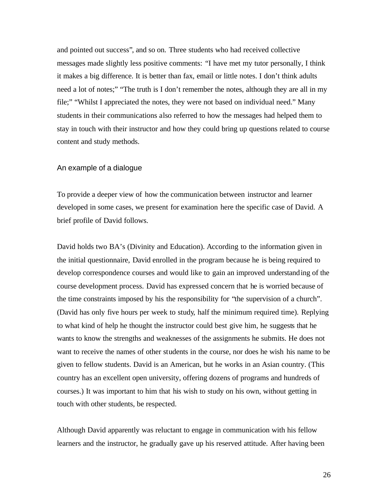and pointed out success", and so on. Three students who had received collective messages made slightly less positive comments: "I have met my tutor personally, I think it makes a big difference. It is better than fax, email or little notes. I don't think adults need a lot of notes;" "The truth is I don't remember the notes, although they are all in my file;" "Whilst I appreciated the notes, they were not based on individual need." Many students in their communications also referred to how the messages had helped them to stay in touch with their instructor and how they could bring up questions related to course content and study methods.

## An example of a dialogue

To provide a deeper view of how the communication between instructor and learner developed in some cases, we present for examination here the specific case of David. A brief profile of David follows.

David holds two BA's (Divinity and Education). According to the information given in the initial questionnaire, David enrolled in the program because he is being required to develop correspondence courses and would like to gain an improved understanding of the course development process. David has expressed concern that he is worried because of the time constraints imposed by his the responsibility for "the supervision of a church". (David has only five hours per week to study, half the minimum required time). Replying to what kind of help he thought the instructor could best give him, he suggests that he wants to know the strengths and weaknesses of the assignments he submits. He does not want to receive the names of other students in the course, nor does he wish his name to be given to fellow students. David is an American, but he works in an Asian country. (This country has an excellent open university, offering dozens of programs and hundreds of courses.) It was important to him that his wish to study on his own, without getting in touch with other students, be respected.

Although David apparently was reluctant to engage in communication with his fellow learners and the instructor, he gradually gave up his reserved attitude. After having been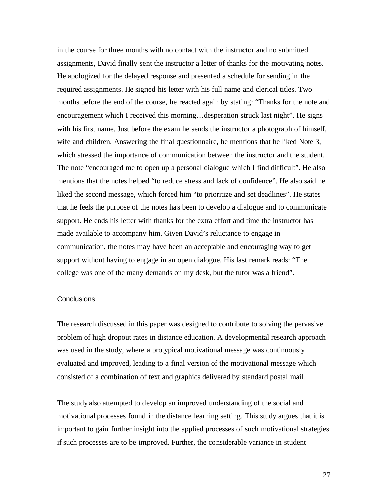in the course for three months with no contact with the instructor and no submitted assignments, David finally sent the instructor a letter of thanks for the motivating notes. He apologized for the delayed response and presented a schedule for sending in the required assignments. He signed his letter with his full name and clerical titles. Two months before the end of the course, he reacted again by stating: "Thanks for the note and encouragement which I received this morning…desperation struck last night". He signs with his first name. Just before the exam he sends the instructor a photograph of himself, wife and children. Answering the final questionnaire, he mentions that he liked Note 3, which stressed the importance of communication between the instructor and the student. The note "encouraged me to open up a personal dialogue which I find difficult". He also mentions that the notes helped "to reduce stress and lack of confidence". He also said he liked the second message, which forced him "to prioritize and set deadlines". He states that he feels the purpose of the notes ha s been to develop a dialogue and to communicate support. He ends his letter with thanks for the extra effort and time the instructor has made available to accompany him. Given David's reluctance to engage in communication, the notes may have been an acceptable and encouraging way to get support without having to engage in an open dialogue. His last remark reads: "The college was one of the many demands on my desk, but the tutor was a friend".

### **Conclusions**

The research discussed in this paper was designed to contribute to solving the pervasive problem of high dropout rates in distance education. A developmental research approach was used in the study, where a protypical motivational message was continuously evaluated and improved, leading to a final version of the motivational message which consisted of a combination of text and graphics delivered by standard postal mail.

The study also attempted to develop an improved understanding of the social and motivational processes found in the distance learning setting. This study argues that it is important to gain further insight into the applied processes of such motivational strategies if such processes are to be improved. Further, the considerable variance in student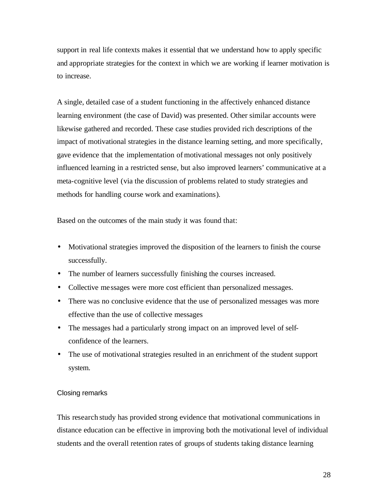support in real life contexts makes it essential that we understand how to apply specific and appropriate strategies for the context in which we are working if learner motivation is to increase.

A single, detailed case of a student functioning in the affectively enhanced distance learning environment (the case of David) was presented. Other similar accounts were likewise gathered and recorded. These case studies provided rich descriptions of the impact of motivational strategies in the distance learning setting, and more specifically, gave evidence that the implementation of motivational messages not only positively influenced learning in a restricted sense, but also improved learners' communicative at a meta-cognitive level (via the discussion of problems related to study strategies and methods for handling course work and examinations).

Based on the outcomes of the main study it was found that:

- Motivational strategies improved the disposition of the learners to finish the course successfully.
- The number of learners successfully finishing the courses increased.
- Collective messages were more cost efficient than personalized messages.
- There was no conclusive evidence that the use of personalized messages was more effective than the use of collective messages
- The messages had a particularly strong impact on an improved level of selfconfidence of the learners.
- The use of motivational strategies resulted in an enrichment of the student support system.

# Closing remarks

This research study has provided strong evidence that motivational communications in distance education can be effective in improving both the motivational level of individual students and the overall retention rates of groups of students taking distance learning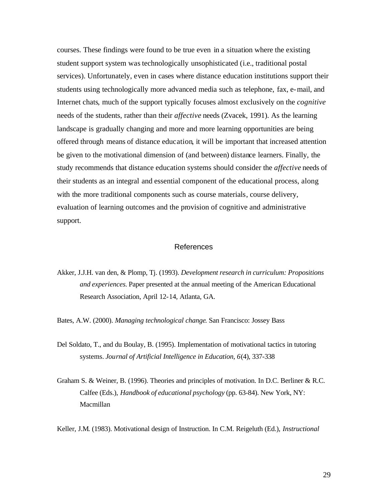courses. These findings were found to be true even in a situation where the existing student support system was technologically unsophisticated (i.e., traditional postal services). Unfortunately, even in cases where distance education institutions support their students using technologically more advanced media such as telephone, fax, e-mail, and Internet chats, much of the support typically focuses almost exclusively on the *cognitive* needs of the students, rather than their *affective* needs (Zvacek, 1991). As the learning landscape is gradually changing and more and more learning opportunities are being offered through means of distance education, it will be important that increased attention be given to the motivational dimension of (and between) distance learners. Finally, the study recommends that distance education systems should consider the *affective* needs of their students as an integral and essential component of the educational process, along with the more traditional components such as course materials, course delivery, evaluation of learning outcomes and the provision of cognitive and administrative support.

## References

Akker, J.J.H. van den, & Plomp, Tj. (1993). *Development research in curriculum: Propositions and experiences.* Paper presented at the annual meeting of the American Educational Research Association, April 12-14, Atlanta, GA.

Bates, A.W. (2000). *Managing technological change*. San Francisco: Jossey Bass

- Del Soldato, T., and du Boulay, B. (1995). Implementation of motivational tactics in tutoring systems. *Journal of Artificial Intelligence in Education, 6*(4), 337-338
- Graham S. & Weiner, B. (1996). Theories and principles of motivation. In D.C. Berliner & R.C. Calfee (Eds.), *Handbook of educational psychology* (pp. 63-84). New York, NY: Macmillan

Keller, J.M. (1983). Motivational design of Instruction. In C.M. Reigeluth (Ed.), *Instructional*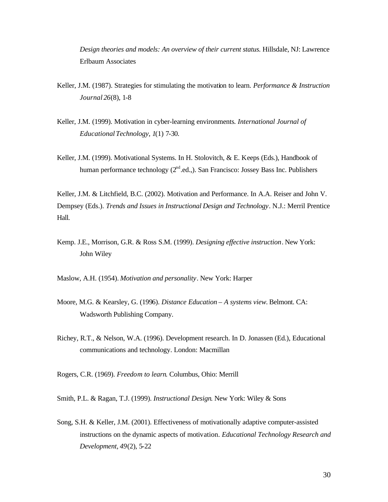*Design theories and models: An overview of their current status.* Hillsdale, NJ: Lawrence Erlbaum Associates

- Keller, J.M. (1987). Strategies for stimulating the motivation to learn. *Performance & Instruction Journal 26*(8), 1-8
- Keller, J.M. (1999). Motivation in cyber-learning environments*. International Journal of EducationalTechnology, 1*(1) 7-30.
- Keller, J.M. (1999). Motivational Systems. In H. Stolovitch, & E. Keeps (Eds.), Handbook of human performance technology  $(2<sup>nd</sup>.ed.)$ . San Francisco: Jossey Bass Inc. Publishers

Keller, J.M. & Litchfield, B.C. (2002). Motivation and Performance. In A.A. Reiser and John V. Dempsey (Eds.). *Trends and Issues in Instructional Design and Technology*. N.J.: Merril Prentice Hall.

Kemp. J.E., Morrison, G.R. & Ross S.M. (1999). *Designing effective instruction*. New York: John Wiley

Maslow, A.H. (1954). *Motivation and personality*. New York: Harper

- Moore, M.G. & Kearsley, G. (1996). *Distance Education A systems view.* Belmont. CA: Wadsworth Publishing Company.
- Richey, R.T., & Nelson, W.A. (1996). Development research. In D. Jonassen (Ed.), Educational communications and technology. London: Macmillan

Rogers, C.R. (1969). *Freedom to learn*. Columbus, Ohio: Merrill

Smith, P.L. & Ragan, T.J. (1999). *Instructional Design*. New York: Wiley & Sons

Song, S.H. & Keller, J.M. (2001). Effectiveness of motivationally adaptive computer-assisted instructions on the dynamic aspects of motivation. *Educational Technology Research and Development, 49*(2), 5-22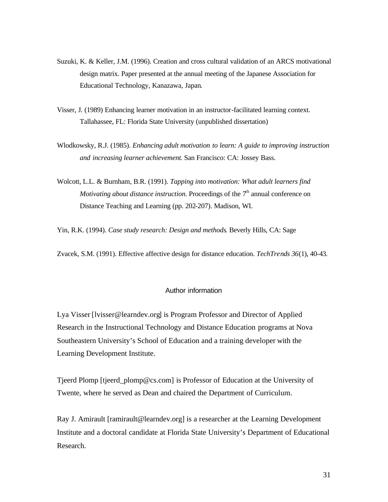- Suzuki, K. & Keller, J.M. (1996). Creation and cross cultural validation of an ARCS motivational design matrix. Paper presented at the annual meeting of the Japanese Association for Educational Technology, Kanazawa, Japan.
- Visser, J. (1989) Enhancing learner motivation in an instructor-facilitated learning context. Tallahassee, FL: Florida State University (unpublished dissertation)
- Wlodkowsky, R.J. (1985). *Enhancing adult motivation to learn: A guide to improving instruction and increasing learner achievement*. San Francisco: CA: Jossey Bass.
- Wolcott, L.L. & Burnham, B.R. (1991). *Tapping into motivation: What adult learners find Motivating about distance instruction.* Proceedings of the  $7<sup>th</sup>$  annual conference on Distance Teaching and Learning (pp. 202-207). Madison, WI.

Yin, R.K. (1994). *Case study research: Design and methods*. Beverly Hills, CA: Sage

Zvacek, S.M. (1991). Effective affective design for distance education. *TechTrends 36*(1), 40-43.

## Author information

Lya Visser [lvisser@learndev.org] is Program Professor and Director of Applied Research in the Instructional Technology and Distance Education programs at Nova Southeastern University's School of Education and a training developer with the Learning Development Institute.

Tjeerd Plomp [tjeerd\_plomp@cs.com] is Professor of Education at the University of Twente, where he served as Dean and chaired the Department of Curriculum.

Ray J. Amirault [ramirault@learndev.org] is a researcher at the Learning Development Institute and a doctoral candidate at Florida State University's Department of Educational Research.